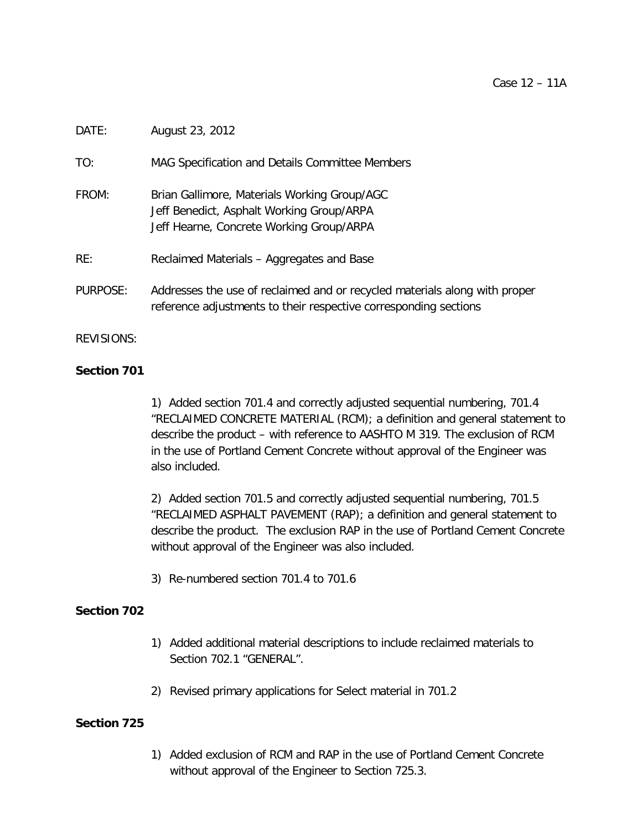# DATE: August 23, 2012

TO: MAG Specification and Details Committee Members

- FROM: Brian Gallimore, Materials Working Group/AGC Jeff Benedict, Asphalt Working Group/ARPA Jeff Hearne, Concrete Working Group/ARPA
- RE: Reclaimed Materials Aggregates and Base
- PURPOSE: Addresses the use of reclaimed and or recycled materials along with proper reference adjustments to their respective corresponding sections

## REVISIONS:

# **Section 701**

1) Added section 701.4 and correctly adjusted sequential numbering, 701.4 "RECLAIMED CONCRETE MATERIAL (RCM); a definition and general statement to describe the product – with reference to AASHTO M 319. The exclusion of RCM in the use of Portland Cement Concrete without approval of the Engineer was also included.

2) Added section 701.5 and correctly adjusted sequential numbering, 701.5 "RECLAIMED ASPHALT PAVEMENT (RAP); a definition and general statement to describe the product. The exclusion RAP in the use of Portland Cement Concrete without approval of the Engineer was also included.

3) Re-numbered section 701.4 to 701.6

# **Section 702**

- 1) Added additional material descriptions to include reclaimed materials to Section 702.1 "GENERAL".
- 2) Revised primary applications for Select material in 701.2

# **Section 725**

1) Added exclusion of RCM and RAP in the use of Portland Cement Concrete without approval of the Engineer to Section 725.3.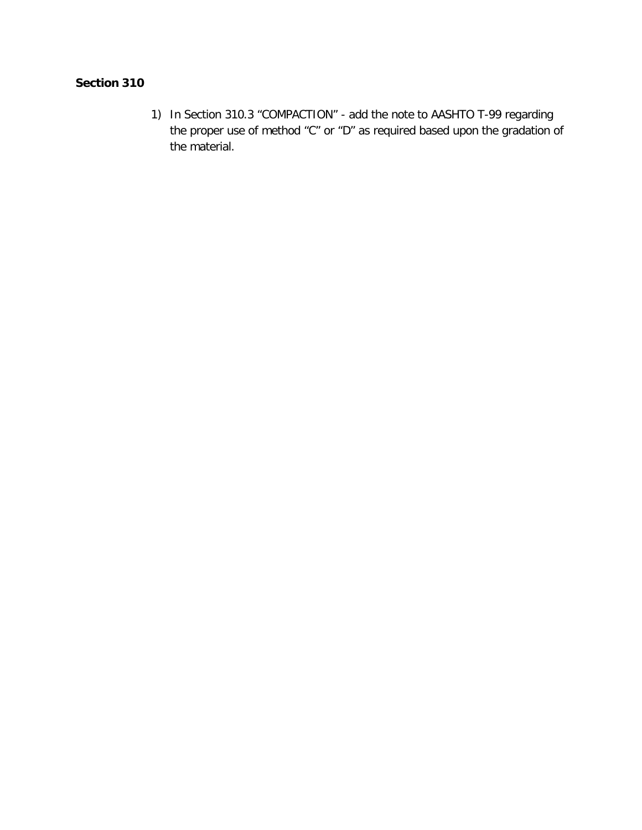# **Section 310**

1) In Section 310.3 "COMPACTION" - add the note to AASHTO T-99 regarding the proper use of method "C" or "D" as required based upon the gradation of the material.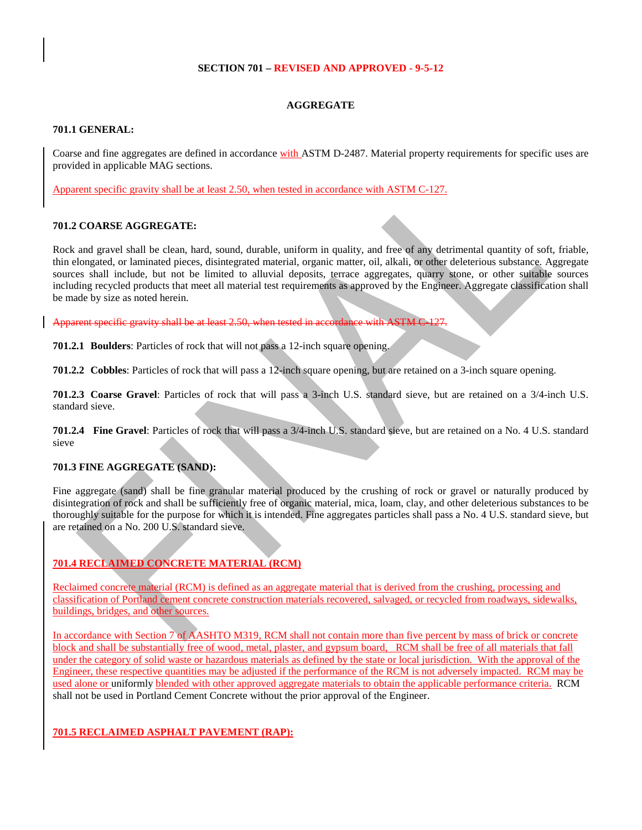#### **SECTION 701 – REVISED AND APPROVED - 9-5-12**

## **AGGREGATE**

#### **701.1 GENERAL:**

Coarse and fine aggregates are defined in accordance with ASTM D-2487. Material property requirements for specific uses are provided in applicable MAG sections.

Apparent specific gravity shall be at least 2.50, when tested in accordance with ASTM C-127.

## **701.2 COARSE AGGREGATE:**

Rock and gravel shall be clean, hard, sound, durable, uniform in quality, and free of any detrimental quantity of soft, friable, thin elongated, or laminated pieces, disintegrated material, organic matter, oil, alkali, or other deleterious substance. Aggregate sources shall include, but not be limited to alluvial deposits, terrace aggregates, quarry stone, or other suitable sources including recycled products that meet all material test requirements as approved by the Engineer. Aggregate classification shall be made by size as noted herein.

Apparent specific gravity shall be at least 2.50, when tested in accordance with ASTM C-127.

**701.2.1 Boulders**: Particles of rock that will not pass a 12-inch square opening.

**701.2.2 Cobbles**: Particles of rock that will pass a 12-inch square opening, but are retained on a 3-inch square opening.

**701.2.3 Coarse Gravel**: Particles of rock that will pass a 3-inch U.S. standard sieve, but are retained on a 3/4-inch U.S. standard sieve.

**701.2.4 Fine Gravel**: Particles of rock that will pass a 3/4-inch U.S. standard sieve, but are retained on a No. 4 U.S. standard sieve

# **701.3 FINE AGGREGATE (SAND):**

Fine aggregate (sand) shall be fine granular material produced by the crushing of rock or gravel or naturally produced by disintegration of rock and shall be sufficiently free of organic material, mica, loam, clay, and other deleterious substances to be thoroughly suitable for the purpose for which it is intended. Fine aggregates particles shall pass a No. 4 U.S. standard sieve, but are retained on a No. 200 U.S. standard sieve.

# **701.4 RECLAIMED CONCRETE MATERIAL (RCM)**

Reclaimed concrete material (RCM) is defined as an aggregate material that is derived from the crushing, processing and classification of Portland cement concrete construction materials recovered, salvaged, or recycled from roadways, sidewalks, buildings, bridges, and other sources.

In accordance with Section 7 of AASHTO M319, RCM shall not contain more than five percent by mass of brick or concrete block and shall be substantially free of wood, metal, plaster, and gypsum board, RCM shall be free of all materials that fall under the category of solid waste or hazardous materials as defined by the state or local jurisdiction. With the approval of the Engineer, these respective quantities may be adjusted if the performance of the RCM is not adversely impacted. RCM may be used alone or uniformly blended with other approved aggregate materials to obtain the applicable performance criteria. RCM shall not be used in Portland Cement Concrete without the prior approval of the Engineer.

**701.5 RECLAIMED ASPHALT PAVEMENT (RAP):**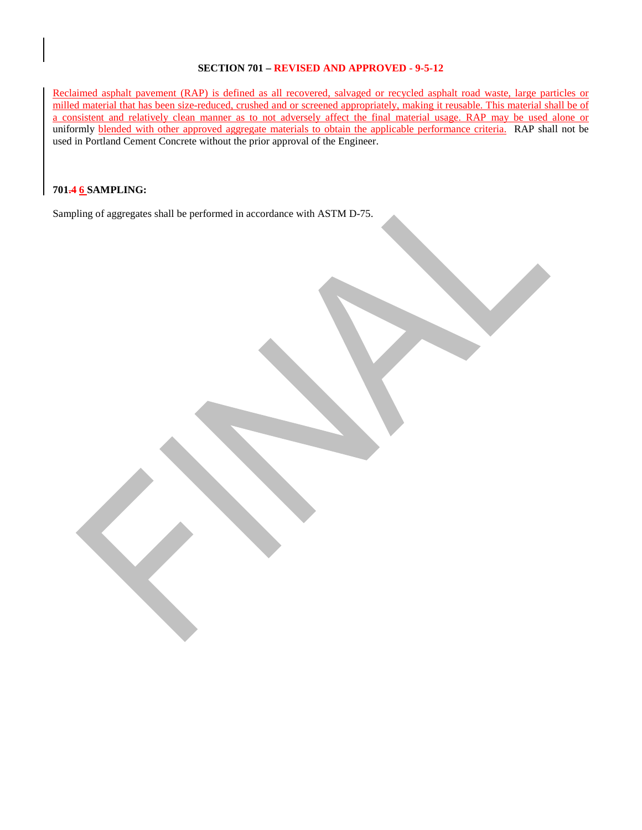## **SECTION 701 – REVISED AND APPROVED - 9-5-12**

Reclaimed asphalt pavement (RAP) is defined as all recovered, salvaged or recycled asphalt road waste, large particles or milled material that has been size-reduced, crushed and or screened appropriately, making it reusable. This material shall be of a consistent and relatively clean manner as to not adversely affect the final material usage. RAP may be used alone or uniformly blended with other approved aggregate materials to obtain the applicable performance criteria. RAP shall not be used in Portland Cement Concrete without the prior approval of the Engineer.

## **701.4 6 SAMPLING:**

Sampling of aggregates shall be performed in accordance with ASTM D-75.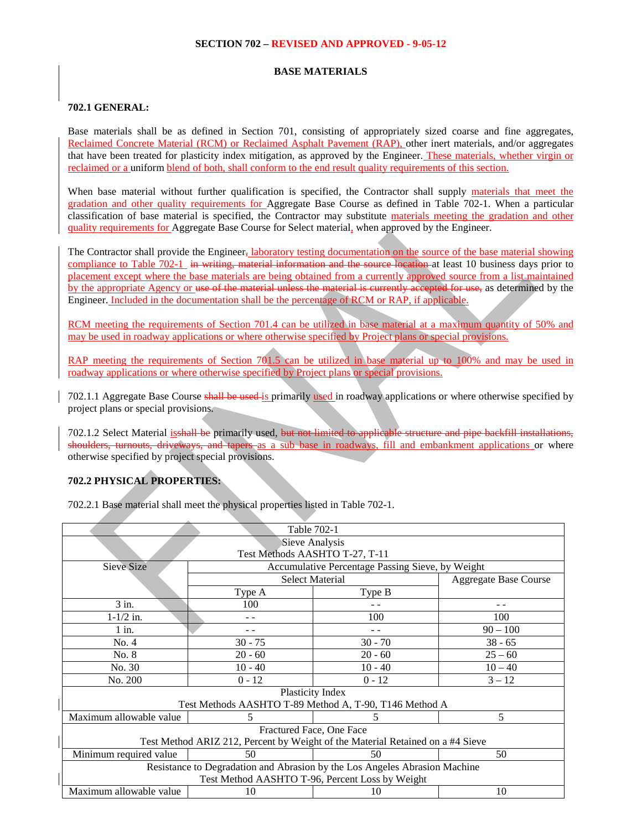#### **SECTION 702 – REVISED AND APPROVED - 9-05-12**

#### **BASE MATERIALS**

#### **702.1 GENERAL:**

Base materials shall be as defined in Section 701, consisting of appropriately sized coarse and fine aggregates, Reclaimed Concrete Material (RCM) or Reclaimed Asphalt Pavement (RAP), other inert materials, and/or aggregates that have been treated for plasticity index mitigation, as approved by the Engineer. These materials, whether virgin or reclaimed or a uniform blend of both, shall conform to the end result quality requirements of this section.

When base material without further qualification is specified, the Contractor shall supply materials that meet the gradation and other quality requirements for Aggregate Base Course as defined in Table 702-1. When a particular classification of base material is specified, the Contractor may substitute materials meeting the gradation and other quality requirements for Aggregate Base Course for Select material, when approved by the Engineer.

The Contractor shall provide the Engineer, laboratory testing documentation on the source of the base material showing compliance to Table 702-1 in writing, material information and the source location at least 10 business days prior to placement except where the base materials are being obtained from a currently approved source from a list maintained by the appropriate Agency or use of the material unless the material is currently accepted for use, as determined by the Engineer. Included in the documentation shall be the percentage of RCM or RAP, if applicable.

RCM meeting the requirements of Section 701.4 can be utilized in base material at a maximum quantity of 50% and may be used in roadway applications or where otherwise specified by Project plans or special provisions.

RAP meeting the requirements of Section 701.5 can be utilized in base material up to 100% and may be used in roadway applications or where otherwise specified by Project plans or special provisions.

702.1.1 Aggregate Base Course shall be used is primarily used in roadway applications or where otherwise specified by project plans or special provisions.

702.1.2 Select Material isshall be primarily used, but not limited to applicable structure and pipe backfill installations, shoulders, turnouts, driveways, and tapers as a sub base in roadways, fill and embankment applications or where otherwise specified by project special provisions.

# **702.2 PHYSICAL PROPERTIES:**

702.2.1 Base material shall meet the physical properties listed in Table 702-1.

| Table 702-1                                                                    |                                                  |           |                              |  |  |
|--------------------------------------------------------------------------------|--------------------------------------------------|-----------|------------------------------|--|--|
| Sieve Analysis                                                                 |                                                  |           |                              |  |  |
| Test Methods AASHTO T-27, T-11                                                 |                                                  |           |                              |  |  |
| <b>Sieve Size</b>                                                              | Accumulative Percentage Passing Sieve, by Weight |           |                              |  |  |
|                                                                                | <b>Select Material</b>                           |           | <b>Aggregate Base Course</b> |  |  |
|                                                                                | Type A                                           | Type B    |                              |  |  |
| $3$ in.                                                                        | 100                                              |           | - -                          |  |  |
| $1 - 1/2$ in.                                                                  |                                                  | 100       | 100                          |  |  |
| $1$ in.                                                                        |                                                  |           | $90 - 100$                   |  |  |
| No. 4                                                                          | $30 - 75$                                        | $30 - 70$ | $38 - 65$                    |  |  |
| No. 8                                                                          | $20 - 60$                                        | $20 - 60$ | $25 - 60$                    |  |  |
| No. 30                                                                         | $10 - 40$                                        | $10 - 40$ | $10 - 40$                    |  |  |
| No. 200                                                                        | $0 - 12$                                         | $0 - 12$  | $3 - 12$                     |  |  |
| Plasticity Index                                                               |                                                  |           |                              |  |  |
| Test Methods AASHTO T-89 Method A, T-90, T146 Method A                         |                                                  |           |                              |  |  |
| Maximum allowable value                                                        | 5.                                               | 5         | 5                            |  |  |
| Fractured Face, One Face                                                       |                                                  |           |                              |  |  |
| Test Method ARIZ 212, Percent by Weight of the Material Retained on a #4 Sieve |                                                  |           |                              |  |  |
| Minimum required value                                                         | 50                                               | 50        | 50                           |  |  |
| Resistance to Degradation and Abrasion by the Los Angeles Abrasion Machine     |                                                  |           |                              |  |  |
| Test Method AASHTO T-96, Percent Loss by Weight                                |                                                  |           |                              |  |  |
| Maximum allowable value                                                        | 10                                               | 10        | 10                           |  |  |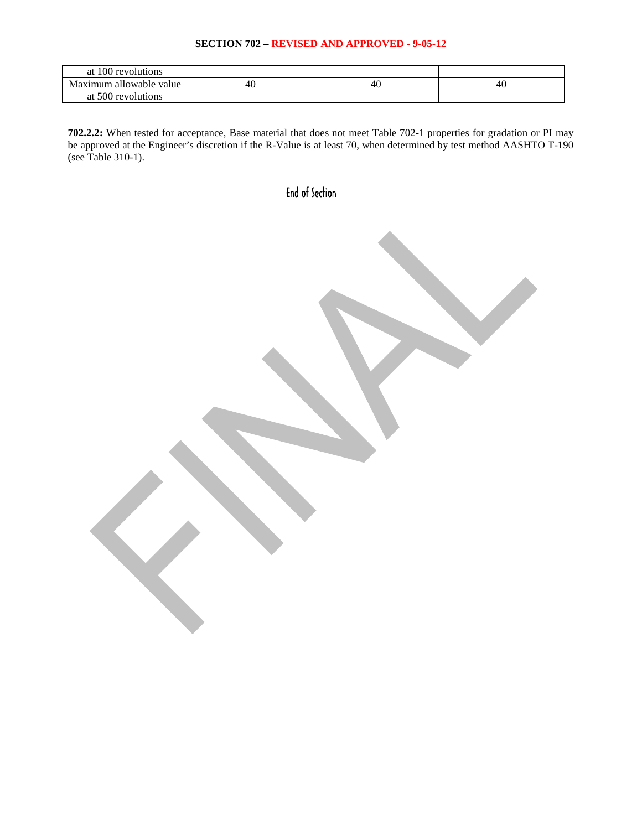## **SECTION 702 – REVISED AND APPROVED - 9-05-12**

| at 100 revolutions      |    |    |    |
|-------------------------|----|----|----|
| Maximum allowable value | 40 | 40 | 40 |
| at 500 revolutions      |    |    |    |

**702.2.2:** When tested for acceptance, Base material that does not meet Table 702-1 properties for gradation or PI may be approved at the Engineer's discretion if the R-Value is at least 70, when determined by test method AASHTO T-190 (see Table 310-1).

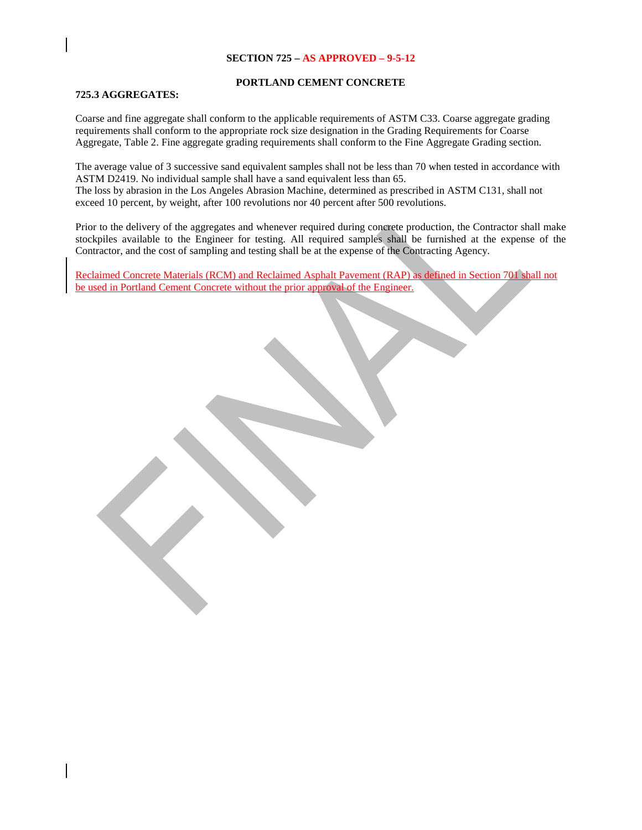## **SECTION 725 – AS APPROVED – 9-5-12**

#### **PORTLAND CEMENT CONCRETE**

#### **725.3 AGGREGATES:**

Coarse and fine aggregate shall conform to the applicable requirements of ASTM C33. Coarse aggregate grading requirements shall conform to the appropriate rock size designation in the Grading Requirements for Coarse Aggregate, Table 2. Fine aggregate grading requirements shall conform to the Fine Aggregate Grading section.

The average value of 3 successive sand equivalent samples shall not be less than 70 when tested in accordance with ASTM D2419. No individual sample shall have a sand equivalent less than 65. The loss by abrasion in the Los Angeles Abrasion Machine, determined as prescribed in ASTM C131, shall not exceed 10 percent, by weight, after 100 revolutions nor 40 percent after 500 revolutions.

Prior to the delivery of the aggregates and whenever required during concrete production, the Contractor shall make stockpiles available to the Engineer for testing. All required samples shall be furnished at the expense of the Contractor, and the cost of sampling and testing shall be at the expense of the Contracting Agency.

Reclaimed Concrete Materials (RCM) and Reclaimed Asphalt Pavement (RAP) as defined in Section 701 shall not be used in Portland Cement Concrete without the prior approval of the Engineer.